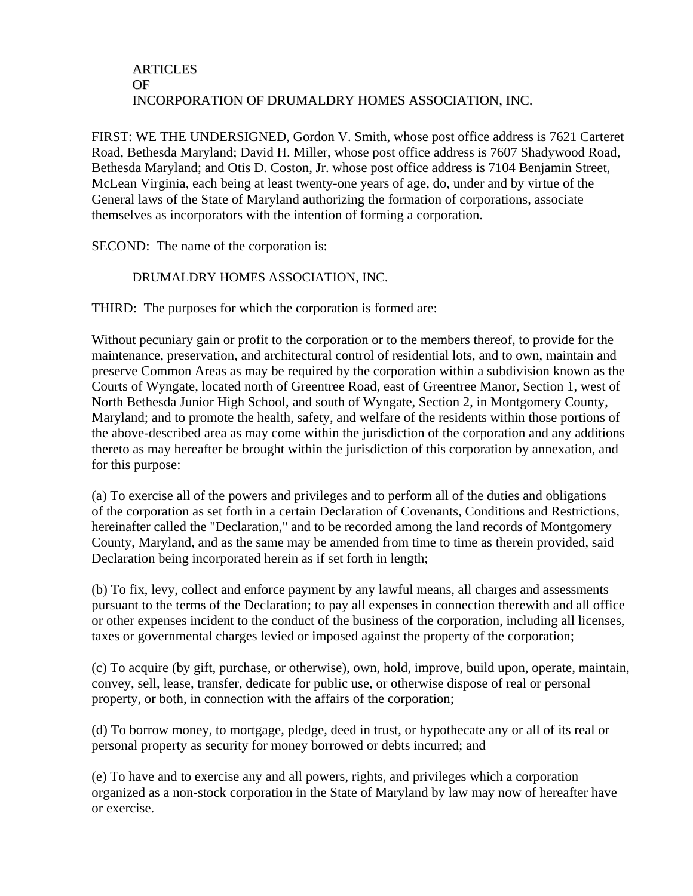## ARTICLES OF INCORPORATION OF DRUMALDRY HOMES ASSOCIATION, INC.

FIRST: WE THE UNDERSIGNED, Gordon V. Smith, whose post office address is 7621 Carteret Road, Bethesda Maryland; David H. Miller, whose post office address is 7607 Shadywood Road, Bethesda Maryland; and Otis D. Coston, Jr. whose post office address is 7104 Benjamin Street, McLean Virginia, each being at least twenty-one years of age, do, under and by virtue of the General laws of the State of Maryland authorizing the formation of corporations, associate themselves as incorporators with the intention of forming a corporation.

SECOND: The name of the corporation is:

## DRUMALDRY HOMES ASSOCIATION, INC.

THIRD: The purposes for which the corporation is formed are:

Without pecuniary gain or profit to the corporation or to the members thereof, to provide for the maintenance, preservation, and architectural control of residential lots, and to own, maintain and preserve Common Areas as may be required by the corporation within a subdivision known as the Courts of Wyngate, located north of Greentree Road, east of Greentree Manor, Section 1, west of North Bethesda Junior High School, and south of Wyngate, Section 2, in Montgomery County, Maryland; and to promote the health, safety, and welfare of the residents within those portions of the above-described area as may come within the jurisdiction of the corporation and any additions thereto as may hereafter be brought within the jurisdiction of this corporation by annexation, and for this purpose:

(a) To exercise all of the powers and privileges and to perform all of the duties and obligations of the corporation as set forth in a certain Declaration of Covenants, Conditions and Restrictions, hereinafter called the "Declaration," and to be recorded among the land records of Montgomery County, Maryland, and as the same may be amended from time to time as therein provided, said Declaration being incorporated herein as if set forth in length;

(b) To fix, levy, collect and enforce payment by any lawful means, all charges and assessments pursuant to the terms of the Declaration; to pay all expenses in connection therewith and all office or other expenses incident to the conduct of the business of the corporation, including all licenses, taxes or governmental charges levied or imposed against the property of the corporation;

(c) To acquire (by gift, purchase, or otherwise), own, hold, improve, build upon, operate, maintain, convey, sell, lease, transfer, dedicate for public use, or otherwise dispose of real or personal property, or both, in connection with the affairs of the corporation;

(d) To borrow money, to mortgage, pledge, deed in trust, or hypothecate any or all of its real or personal property as security for money borrowed or debts incurred; and

(e) To have and to exercise any and all powers, rights, and privileges which a corporation organized as a non-stock corporation in the State of Maryland by law may now of hereafter have or exercise.